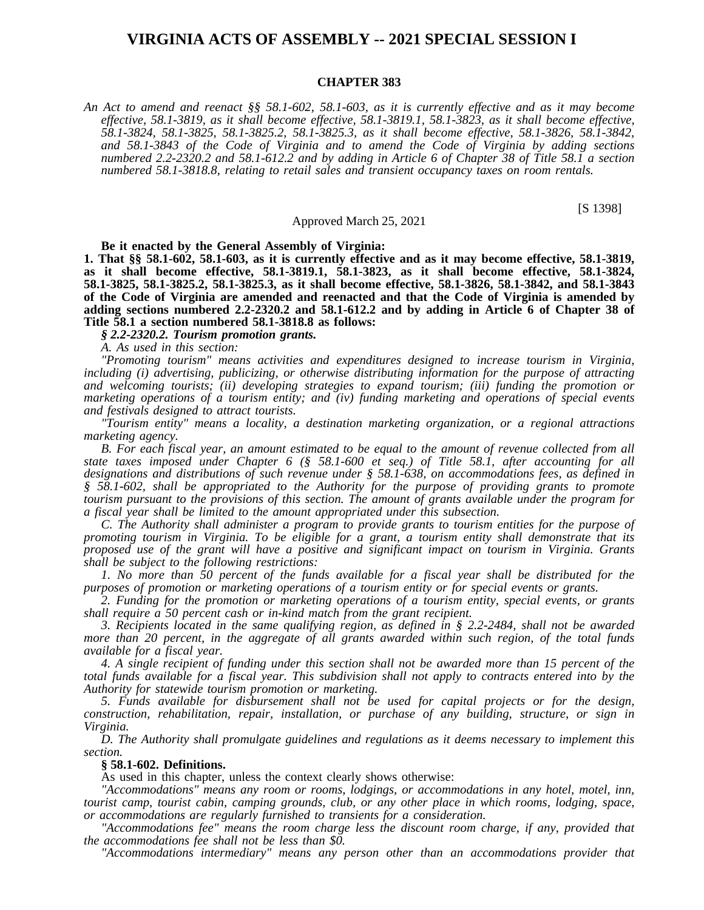# **VIRGINIA ACTS OF ASSEMBLY -- 2021 SPECIAL SESSION I**

#### **CHAPTER 383**

An Act to amend and reenact §§ 58.1-602, 58.1-603, as it is currently effective and as it may become *effective, 58.1-3819, as it shall become effective, 58.1-3819.1, 58.1-3823, as it shall become effective, 58.1-3824, 58.1-3825, 58.1-3825.2, 58.1-3825.3, as it shall become effective, 58.1-3826, 58.1-3842, and 58.1-3843 of the Code of Virginia and to amend the Code of Virginia by adding sections* numbered 2.2-2320.2 and 58.1-612.2 and by adding in Article 6 of Chapter 38 of Title 58.1 a section *numbered 58.1-3818.8, relating to retail sales and transient occupancy taxes on room rentals.*

[S 1398]

Approved March 25, 2021

**Be it enacted by the General Assembly of Virginia:**

**1. That §§ 58.1-602, 58.1-603, as it is currently effective and as it may become effective, 58.1-3819, as it shall become effective, 58.1-3819.1, 58.1-3823, as it shall become effective, 58.1-3824, 58.1-3825, 58.1-3825.2, 58.1-3825.3, as it shall become effective, 58.1-3826, 58.1-3842, and 58.1-3843 of the Code of Virginia are amended and reenacted and that the Code of Virginia is amended by adding sections numbered 2.2-2320.2 and 58.1-612.2 and by adding in Article 6 of Chapter 38 of Title 58.1 a section numbered 58.1-3818.8 as follows:**

*§ 2.2-2320.2. Tourism promotion grants.*

*A. As used in this section:*

*"Promoting tourism" means activities and expenditures designed to increase tourism in Virginia, including (i) advertising, publicizing, or otherwise distributing information for the purpose of attracting and welcoming tourists; (ii) developing strategies to expand tourism; (iii) funding the promotion or marketing operations of a tourism entity; and (iv) funding marketing and operations of special events and festivals designed to attract tourists.*

*"Tourism entity" means a locality, a destination marketing organization, or a regional attractions marketing agency.*

B. For each fiscal year, an amount estimated to be equal to the amount of revenue collected from all *state taxes imposed under Chapter 6 (§ 58.1-600 et seq.) of Title 58.1, after accounting for all designations and distributions of such revenue under § 58.1-638, on accommodations fees, as defined in § 58.1-602, shall be appropriated to the Authority for the purpose of providing grants to promote tourism pursuant to the provisions of this section. The amount of grants available under the program for a fiscal year shall be limited to the amount appropriated under this subsection.*

*C. The Authority shall administer a program to provide grants to tourism entities for the purpose of promoting tourism in Virginia. To be eligible for a grant, a tourism entity shall demonstrate that its proposed use of the grant will have a positive and significant impact on tourism in Virginia. Grants shall be subject to the following restrictions:*

1. No more than 50 percent of the funds available for a fiscal year shall be distributed for the *purposes of promotion or marketing operations of a tourism entity or for special events or grants.*

*2. Funding for the promotion or marketing operations of a tourism entity, special events, or grants shall require a 50 percent cash or in-kind match from the grant recipient.*

*3. Recipients located in the same qualifying region, as defined in § 2.2-2484, shall not be awarded* more than 20 percent, in the aggregate of all grants awarded within such region, of the total funds *available for a fiscal year.*

4. A single recipient of funding under this section shall not be awarded more than 15 percent of the total funds available for a fiscal year. This subdivision shall not apply to contracts entered into by the *Authority for statewide tourism promotion or marketing.*

*5. Funds available for disbursement shall not be used for capital projects or for the design, construction, rehabilitation, repair, installation, or purchase of any building, structure, or sign in Virginia.*

*D. The Authority shall promulgate guidelines and regulations as it deems necessary to implement this section.*

### **§ 58.1-602. Definitions.**

As used in this chapter, unless the context clearly shows otherwise:

*"Accommodations" means any room or rooms, lodgings, or accommodations in any hotel, motel, inn, tourist camp, tourist cabin, camping grounds, club, or any other place in which rooms, lodging, space, or accommodations are regularly furnished to transients for a consideration.*

*"Accommodations fee" means the room charge less the discount room charge, if any, provided that the accommodations fee shall not be less than \$0.*

*"Accommodations intermediary" means any person other than an accommodations provider that*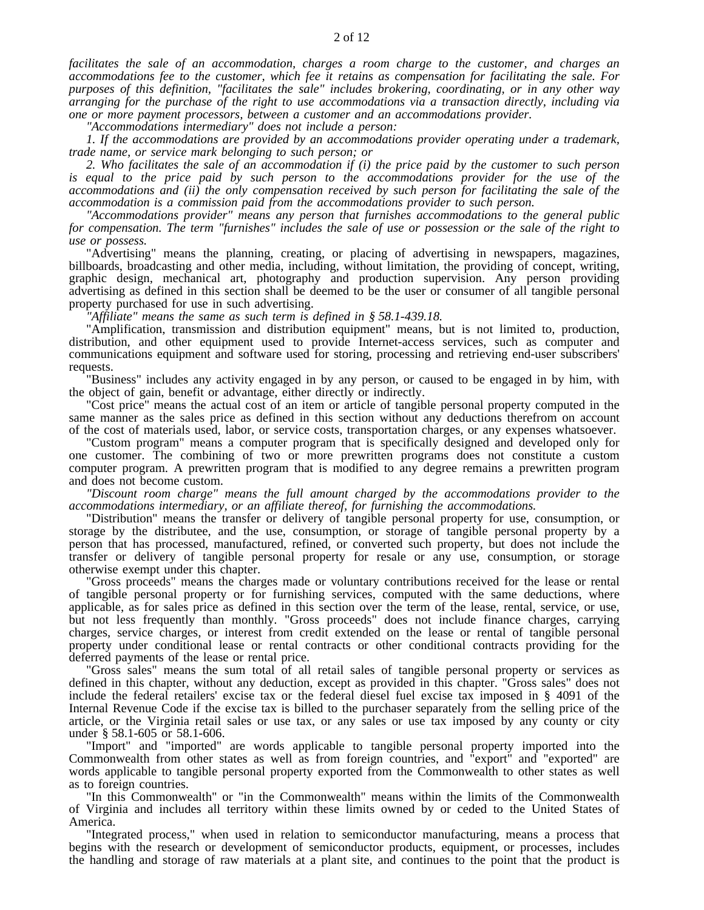*facilitates the sale of an accommodation, charges a room charge to the customer, and charges an accommodations fee to the customer, which fee it retains as compensation for facilitating the sale. For purposes of this definition, "facilitates the sale" includes brokering, coordinating, or in any other way arranging for the purchase of the right to use accommodations via a transaction directly, including via one or more payment processors, between a customer and an accommodations provider.*

*"Accommodations intermediary" does not include a person:*

*1. If the accommodations are provided by an accommodations provider operating under a trademark, trade name, or service mark belonging to such person; or*

2. Who facilitates the sale of an accommodation if  $(i)$  the price paid by the customer to such person *is equal to the price paid by such person to the accommodations provider for the use of the accommodations and (ii) the only compensation received by such person for facilitating the sale of the accommodation is a commission paid from the accommodations provider to such person.*

*"Accommodations provider" means any person that furnishes accommodations to the general public* for compensation. The term "furnishes" includes the sale of use or possession or the sale of the right to *use or possess.*

"Advertising" means the planning, creating, or placing of advertising in newspapers, magazines, billboards, broadcasting and other media, including, without limitation, the providing of concept, writing, graphic design, mechanical art, photography and production supervision. Any person providing advertising as defined in this section shall be deemed to be the user or consumer of all tangible personal property purchased for use in such advertising.

*"Affiliate" means the same as such term is defined in § 58.1-439.18.*

"Amplification, transmission and distribution equipment" means, but is not limited to, production, distribution, and other equipment used to provide Internet-access services, such as computer and communications equipment and software used for storing, processing and retrieving end-user subscribers' requests.

"Business" includes any activity engaged in by any person, or caused to be engaged in by him, with the object of gain, benefit or advantage, either directly or indirectly.

"Cost price" means the actual cost of an item or article of tangible personal property computed in the same manner as the sales price as defined in this section without any deductions therefrom on account of the cost of materials used, labor, or service costs, transportation charges, or any expenses whatsoever.

"Custom program" means a computer program that is specifically designed and developed only for one customer. The combining of two or more prewritten programs does not constitute a custom computer program. A prewritten program that is modified to any degree remains a prewritten program and does not become custom.

*"Discount room charge" means the full amount charged by the accommodations provider to the accommodations intermediary, or an affiliate thereof, for furnishing the accommodations.*

"Distribution" means the transfer or delivery of tangible personal property for use, consumption, or storage by the distributee, and the use, consumption, or storage of tangible personal property by a person that has processed, manufactured, refined, or converted such property, but does not include the transfer or delivery of tangible personal property for resale or any use, consumption, or storage otherwise exempt under this chapter.

"Gross proceeds" means the charges made or voluntary contributions received for the lease or rental of tangible personal property or for furnishing services, computed with the same deductions, where applicable, as for sales price as defined in this section over the term of the lease, rental, service, or use, but not less frequently than monthly. "Gross proceeds" does not include finance charges, carrying charges, service charges, or interest from credit extended on the lease or rental of tangible personal property under conditional lease or rental contracts or other conditional contracts providing for the deferred payments of the lease or rental price.

"Gross sales" means the sum total of all retail sales of tangible personal property or services as defined in this chapter, without any deduction, except as provided in this chapter. "Gross sales" does not include the federal retailers' excise tax or the federal diesel fuel excise tax imposed in § 4091 of the Internal Revenue Code if the excise tax is billed to the purchaser separately from the selling price of the article, or the Virginia retail sales or use tax, or any sales or use tax imposed by any county or city under § 58.1-605 or 58.1-606.

"Import" and "imported" are words applicable to tangible personal property imported into the Commonwealth from other states as well as from foreign countries, and "export" and "exported" are words applicable to tangible personal property exported from the Commonwealth to other states as well as to foreign countries.

"In this Commonwealth" or "in the Commonwealth" means within the limits of the Commonwealth of Virginia and includes all territory within these limits owned by or ceded to the United States of America.

"Integrated process," when used in relation to semiconductor manufacturing, means a process that begins with the research or development of semiconductor products, equipment, or processes, includes the handling and storage of raw materials at a plant site, and continues to the point that the product is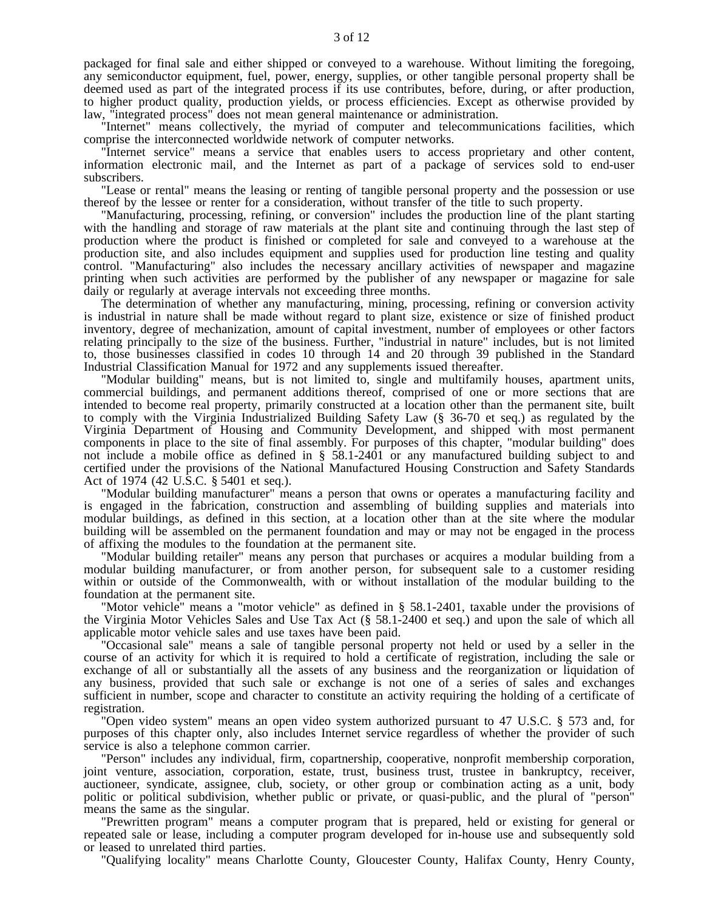packaged for final sale and either shipped or conveyed to a warehouse. Without limiting the foregoing, any semiconductor equipment, fuel, power, energy, supplies, or other tangible personal property shall be deemed used as part of the integrated process if its use contributes, before, during, or after production, to higher product quality, production yields, or process efficiencies. Except as otherwise provided by law, "integrated process" does not mean general maintenance or administration.

"Internet" means collectively, the myriad of computer and telecommunications facilities, which comprise the interconnected worldwide network of computer networks.

"Internet service" means a service that enables users to access proprietary and other content, information electronic mail, and the Internet as part of a package of services sold to end-user subscribers.

"Lease or rental" means the leasing or renting of tangible personal property and the possession or use thereof by the lessee or renter for a consideration, without transfer of the title to such property.

"Manufacturing, processing, refining, or conversion" includes the production line of the plant starting with the handling and storage of raw materials at the plant site and continuing through the last step of production where the product is finished or completed for sale and conveyed to a warehouse at the production site, and also includes equipment and supplies used for production line testing and quality control. "Manufacturing" also includes the necessary ancillary activities of newspaper and magazine printing when such activities are performed by the publisher of any newspaper or magazine for sale daily or regularly at average intervals not exceeding three months.

The determination of whether any manufacturing, mining, processing, refining or conversion activity is industrial in nature shall be made without regard to plant size, existence or size of finished product inventory, degree of mechanization, amount of capital investment, number of employees or other factors relating principally to the size of the business. Further, "industrial in nature" includes, but is not limited to, those businesses classified in codes 10 through 14 and 20 through 39 published in the Standard Industrial Classification Manual for 1972 and any supplements issued thereafter.

"Modular building" means, but is not limited to, single and multifamily houses, apartment units, commercial buildings, and permanent additions thereof, comprised of one or more sections that are intended to become real property, primarily constructed at a location other than the permanent site, built to comply with the Virginia Industrialized Building Safety Law (§ 36-70 et seq.) as regulated by the Virginia Department of Housing and Community Development, and shipped with most permanent components in place to the site of final assembly. For purposes of this chapter, "modular building" does not include a mobile office as defined in § 58.1-2401 or any manufactured building subject to and certified under the provisions of the National Manufactured Housing Construction and Safety Standards Act of 1974 (42 U.S.C. § 5401 et seq.).

"Modular building manufacturer" means a person that owns or operates a manufacturing facility and is engaged in the fabrication, construction and assembling of building supplies and materials into modular buildings, as defined in this section, at a location other than at the site where the modular building will be assembled on the permanent foundation and may or may not be engaged in the process of affixing the modules to the foundation at the permanent site.

"Modular building retailer" means any person that purchases or acquires a modular building from a modular building manufacturer, or from another person, for subsequent sale to a customer residing within or outside of the Commonwealth, with or without installation of the modular building to the foundation at the permanent site.

"Motor vehicle" means a "motor vehicle" as defined in § 58.1-2401, taxable under the provisions of the Virginia Motor Vehicles Sales and Use Tax Act (§ 58.1-2400 et seq.) and upon the sale of which all applicable motor vehicle sales and use taxes have been paid.

"Occasional sale" means a sale of tangible personal property not held or used by a seller in the course of an activity for which it is required to hold a certificate of registration, including the sale or exchange of all or substantially all the assets of any business and the reorganization or liquidation of any business, provided that such sale or exchange is not one of a series of sales and exchanges sufficient in number, scope and character to constitute an activity requiring the holding of a certificate of registration.

"Open video system" means an open video system authorized pursuant to 47 U.S.C. § 573 and, for purposes of this chapter only, also includes Internet service regardless of whether the provider of such service is also a telephone common carrier.

"Person" includes any individual, firm, copartnership, cooperative, nonprofit membership corporation, joint venture, association, corporation, estate, trust, business trust, trustee in bankruptcy, receiver, auctioneer, syndicate, assignee, club, society, or other group or combination acting as a unit, body politic or political subdivision, whether public or private, or quasi-public, and the plural of "person" means the same as the singular.

"Prewritten program" means a computer program that is prepared, held or existing for general or repeated sale or lease, including a computer program developed for in-house use and subsequently sold or leased to unrelated third parties.

"Qualifying locality" means Charlotte County, Gloucester County, Halifax County, Henry County,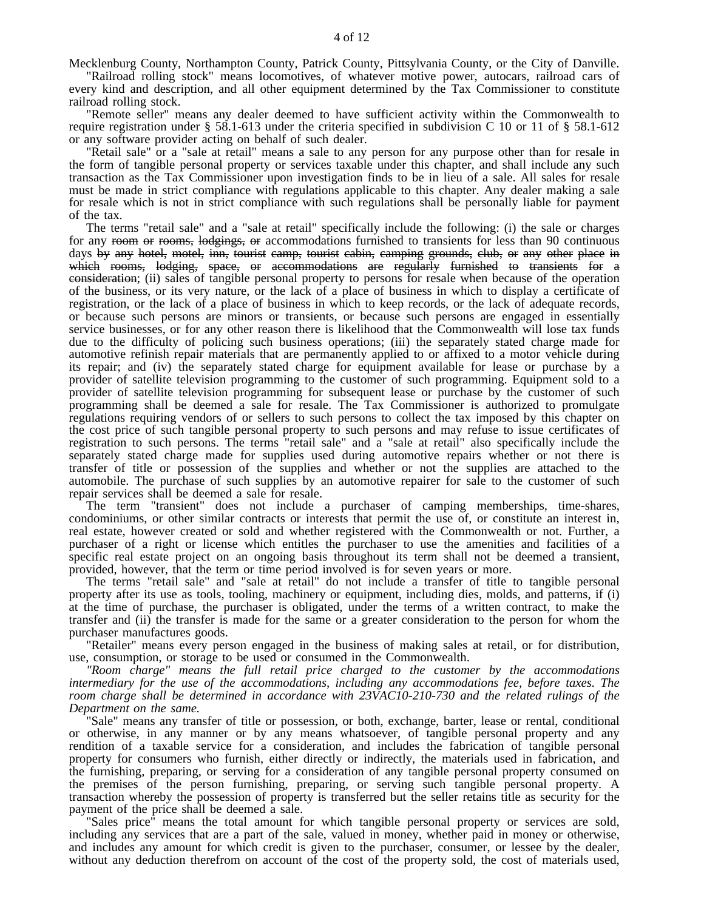Mecklenburg County, Northampton County, Patrick County, Pittsylvania County, or the City of Danville.

"Railroad rolling stock" means locomotives, of whatever motive power, autocars, railroad cars of every kind and description, and all other equipment determined by the Tax Commissioner to constitute railroad rolling stock.

"Remote seller" means any dealer deemed to have sufficient activity within the Commonwealth to require registration under § 58.1-613 under the criteria specified in subdivision C 10 or 11 of § 58.1-612 or any software provider acting on behalf of such dealer.

"Retail sale" or a "sale at retail" means a sale to any person for any purpose other than for resale in the form of tangible personal property or services taxable under this chapter, and shall include any such transaction as the Tax Commissioner upon investigation finds to be in lieu of a sale. All sales for resale must be made in strict compliance with regulations applicable to this chapter. Any dealer making a sale for resale which is not in strict compliance with such regulations shall be personally liable for payment of the tax.

The terms "retail sale" and a "sale at retail" specifically include the following: (i) the sale or charges for any room or rooms, lodgings, or accommodations furnished to transients for less than 90 continuous days by any hotel, motel, inn, tourist camp, tourist cabin, camping grounds, club, or any other place in which rooms, lodging, space, or accommodations are regularly furnished to transients for a consideration; (ii) sales of tangible personal property to persons for resale when because of the operation of the business, or its very nature, or the lack of a place of business in which to display a certificate of registration, or the lack of a place of business in which to keep records, or the lack of adequate records, or because such persons are minors or transients, or because such persons are engaged in essentially service businesses, or for any other reason there is likelihood that the Commonwealth will lose tax funds due to the difficulty of policing such business operations; (iii) the separately stated charge made for automotive refinish repair materials that are permanently applied to or affixed to a motor vehicle during its repair; and (iv) the separately stated charge for equipment available for lease or purchase by a provider of satellite television programming to the customer of such programming. Equipment sold to a provider of satellite television programming for subsequent lease or purchase by the customer of such programming shall be deemed a sale for resale. The Tax Commissioner is authorized to promulgate regulations requiring vendors of or sellers to such persons to collect the tax imposed by this chapter on the cost price of such tangible personal property to such persons and may refuse to issue certificates of registration to such persons. The terms "retail sale" and a "sale at retail" also specifically include the separately stated charge made for supplies used during automotive repairs whether or not there is transfer of title or possession of the supplies and whether or not the supplies are attached to the automobile. The purchase of such supplies by an automotive repairer for sale to the customer of such repair services shall be deemed a sale for resale.

The term "transient" does not include a purchaser of camping memberships, time-shares, condominiums, or other similar contracts or interests that permit the use of, or constitute an interest in, real estate, however created or sold and whether registered with the Commonwealth or not. Further, a purchaser of a right or license which entitles the purchaser to use the amenities and facilities of a specific real estate project on an ongoing basis throughout its term shall not be deemed a transient, provided, however, that the term or time period involved is for seven years or more.

The terms "retail sale" and "sale at retail" do not include a transfer of title to tangible personal property after its use as tools, tooling, machinery or equipment, including dies, molds, and patterns, if (i) at the time of purchase, the purchaser is obligated, under the terms of a written contract, to make the transfer and (ii) the transfer is made for the same or a greater consideration to the person for whom the purchaser manufactures goods.

"Retailer" means every person engaged in the business of making sales at retail, or for distribution, use, consumption, or storage to be used or consumed in the Commonwealth.

*"Room charge" means the full retail price charged to the customer by the accommodations intermediary for the use of the accommodations, including any accommodations fee, before taxes. The room charge shall be determined in accordance with 23VAC10-210-730 and the related rulings of the Department on the same.*

"Sale" means any transfer of title or possession, or both, exchange, barter, lease or rental, conditional or otherwise, in any manner or by any means whatsoever, of tangible personal property and any rendition of a taxable service for a consideration, and includes the fabrication of tangible personal property for consumers who furnish, either directly or indirectly, the materials used in fabrication, and the furnishing, preparing, or serving for a consideration of any tangible personal property consumed on the premises of the person furnishing, preparing, or serving such tangible personal property. A transaction whereby the possession of property is transferred but the seller retains title as security for the payment of the price shall be deemed a sale.

"Sales price" means the total amount for which tangible personal property or services are sold, including any services that are a part of the sale, valued in money, whether paid in money or otherwise, and includes any amount for which credit is given to the purchaser, consumer, or lessee by the dealer, without any deduction therefrom on account of the cost of the property sold, the cost of materials used,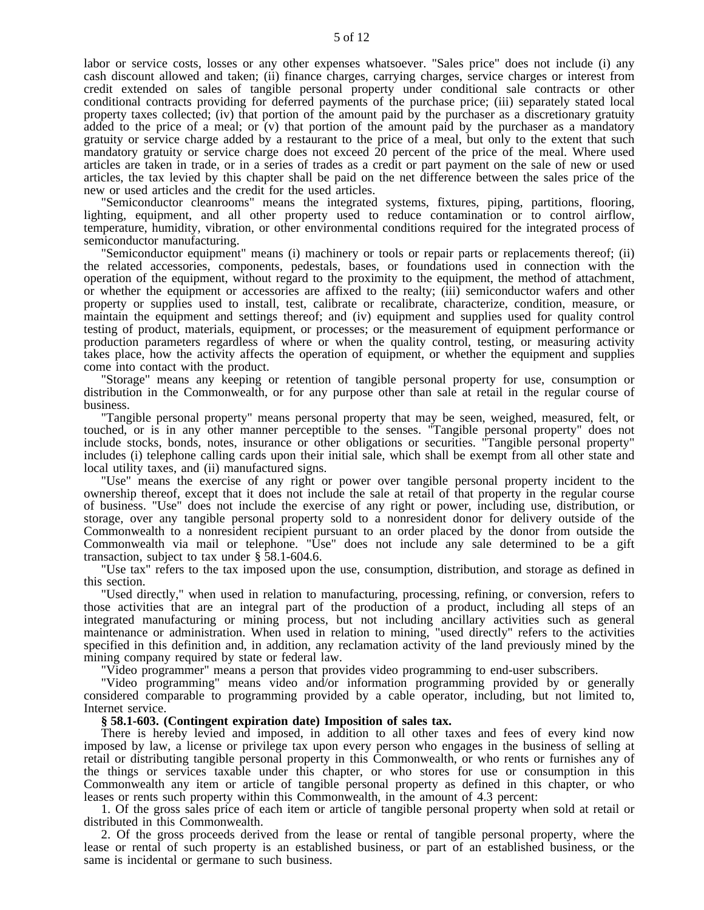labor or service costs, losses or any other expenses whatsoever. "Sales price" does not include (i) any cash discount allowed and taken; (ii) finance charges, carrying charges, service charges or interest from credit extended on sales of tangible personal property under conditional sale contracts or other conditional contracts providing for deferred payments of the purchase price; (iii) separately stated local property taxes collected; (iv) that portion of the amount paid by the purchaser as a discretionary gratuity added to the price of a meal; or (v) that portion of the amount paid by the purchaser as a mandatory gratuity or service charge added by a restaurant to the price of a meal, but only to the extent that such mandatory gratuity or service charge does not exceed 20 percent of the price of the meal. Where used articles are taken in trade, or in a series of trades as a credit or part payment on the sale of new or used articles, the tax levied by this chapter shall be paid on the net difference between the sales price of the new or used articles and the credit for the used articles.

"Semiconductor cleanrooms" means the integrated systems, fixtures, piping, partitions, flooring, lighting, equipment, and all other property used to reduce contamination or to control airflow, temperature, humidity, vibration, or other environmental conditions required for the integrated process of semiconductor manufacturing.

"Semiconductor equipment" means (i) machinery or tools or repair parts or replacements thereof; (ii) the related accessories, components, pedestals, bases, or foundations used in connection with the operation of the equipment, without regard to the proximity to the equipment, the method of attachment, or whether the equipment or accessories are affixed to the realty; (iii) semiconductor wafers and other property or supplies used to install, test, calibrate or recalibrate, characterize, condition, measure, or maintain the equipment and settings thereof; and (iv) equipment and supplies used for quality control testing of product, materials, equipment, or processes; or the measurement of equipment performance or production parameters regardless of where or when the quality control, testing, or measuring activity takes place, how the activity affects the operation of equipment, or whether the equipment and supplies come into contact with the product.

"Storage" means any keeping or retention of tangible personal property for use, consumption or distribution in the Commonwealth, or for any purpose other than sale at retail in the regular course of business.

"Tangible personal property" means personal property that may be seen, weighed, measured, felt, or touched, or is in any other manner perceptible to the senses. "Tangible personal property" does not include stocks, bonds, notes, insurance or other obligations or securities. "Tangible personal property" includes (i) telephone calling cards upon their initial sale, which shall be exempt from all other state and local utility taxes, and (ii) manufactured signs.

"Use" means the exercise of any right or power over tangible personal property incident to the ownership thereof, except that it does not include the sale at retail of that property in the regular course of business. "Use" does not include the exercise of any right or power, including use, distribution, or storage, over any tangible personal property sold to a nonresident donor for delivery outside of the Commonwealth to a nonresident recipient pursuant to an order placed by the donor from outside the Commonwealth via mail or telephone. "Use" does not include any sale determined to be a gift transaction, subject to tax under § 58.1-604.6.

"Use tax" refers to the tax imposed upon the use, consumption, distribution, and storage as defined in this section.

"Used directly," when used in relation to manufacturing, processing, refining, or conversion, refers to those activities that are an integral part of the production of a product, including all steps of an integrated manufacturing or mining process, but not including ancillary activities such as general maintenance or administration. When used in relation to mining, "used directly" refers to the activities specified in this definition and, in addition, any reclamation activity of the land previously mined by the mining company required by state or federal law.

"Video programmer" means a person that provides video programming to end-user subscribers.

"Video programming" means video and/or information programming provided by or generally considered comparable to programming provided by a cable operator, including, but not limited to, Internet service.

# **§ 58.1-603. (Contingent expiration date) Imposition of sales tax.**

There is hereby levied and imposed, in addition to all other taxes and fees of every kind now imposed by law, a license or privilege tax upon every person who engages in the business of selling at retail or distributing tangible personal property in this Commonwealth, or who rents or furnishes any of the things or services taxable under this chapter, or who stores for use or consumption in this Commonwealth any item or article of tangible personal property as defined in this chapter, or who leases or rents such property within this Commonwealth, in the amount of 4.3 percent:

1. Of the gross sales price of each item or article of tangible personal property when sold at retail or distributed in this Commonwealth.

2. Of the gross proceeds derived from the lease or rental of tangible personal property, where the lease or rental of such property is an established business, or part of an established business, or the same is incidental or germane to such business.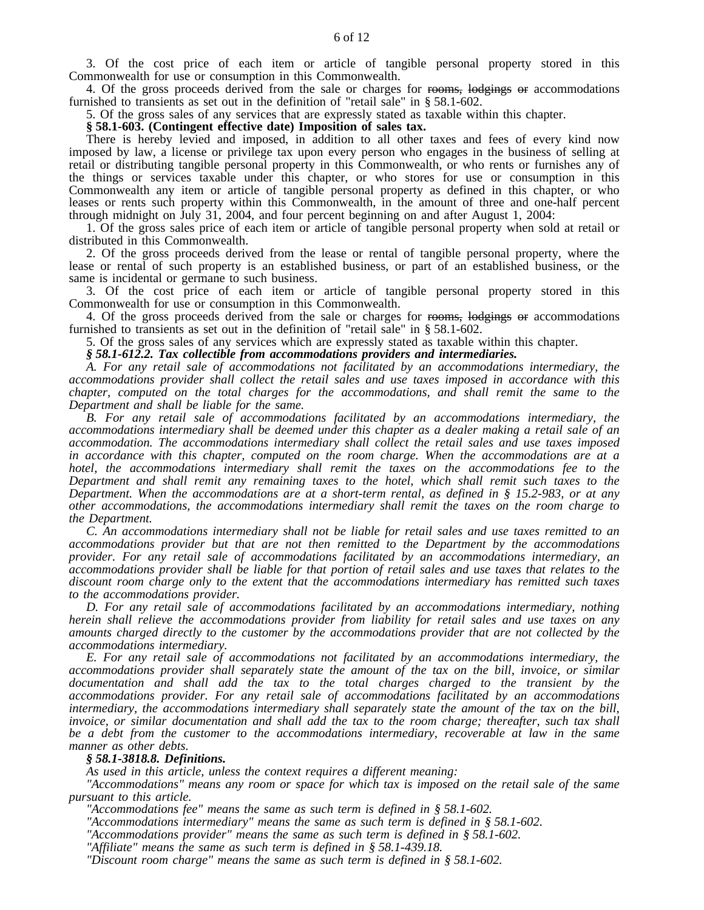3. Of the cost price of each item or article of tangible personal property stored in this Commonwealth for use or consumption in this Commonwealth.

4. Of the gross proceeds derived from the sale or charges for rooms, lodgings or accommodations furnished to transients as set out in the definition of "retail sale" in § 58.1-602.

5. Of the gross sales of any services that are expressly stated as taxable within this chapter.

# **§ 58.1-603. (Contingent effective date) Imposition of sales tax.**

There is hereby levied and imposed, in addition to all other taxes and fees of every kind now imposed by law, a license or privilege tax upon every person who engages in the business of selling at retail or distributing tangible personal property in this Commonwealth, or who rents or furnishes any of the things or services taxable under this chapter, or who stores for use or consumption in this Commonwealth any item or article of tangible personal property as defined in this chapter, or who leases or rents such property within this Commonwealth, in the amount of three and one-half percent through midnight on July 31, 2004, and four percent beginning on and after August 1, 2004:

1. Of the gross sales price of each item or article of tangible personal property when sold at retail or distributed in this Commonwealth.

2. Of the gross proceeds derived from the lease or rental of tangible personal property, where the lease or rental of such property is an established business, or part of an established business, or the same is incidental or germane to such business.

3. Of the cost price of each item or article of tangible personal property stored in this Commonwealth for use or consumption in this Commonwealth.

4. Of the gross proceeds derived from the sale or charges for rooms, lodgings or accommodations furnished to transients as set out in the definition of "retail sale" in § 58.1-602.

5. Of the gross sales of any services which are expressly stated as taxable within this chapter.

*§ 58.1-612.2. Tax collectible from accommodations providers and intermediaries.*

*A. For any retail sale of accommodations not facilitated by an accommodations intermediary, the accommodations provider shall collect the retail sales and use taxes imposed in accordance with this chapter, computed on the total charges for the accommodations, and shall remit the same to the Department and shall be liable for the same.*

*B. For any retail sale of accommodations facilitated by an accommodations intermediary, the accommodations intermediary shall be deemed under this chapter as a dealer making a retail sale of an accommodation. The accommodations intermediary shall collect the retail sales and use taxes imposed in accordance with this chapter, computed on the room charge. When the accommodations are at a hotel, the accommodations intermediary shall remit the taxes on the accommodations fee to the Department and shall remit any remaining taxes to the hotel, which shall remit such taxes to the Department. When the accommodations are at a short-term rental, as defined in § 15.2-983, or at any other accommodations, the accommodations intermediary shall remit the taxes on the room charge to the Department.*

*C. An accommodations intermediary shall not be liable for retail sales and use taxes remitted to an accommodations provider but that are not then remitted to the Department by the accommodations provider. For any retail sale of accommodations facilitated by an accommodations intermediary, an* accommodations provider shall be liable for that portion of retail sales and use taxes that relates to the *discount room charge only to the extent that the accommodations intermediary has remitted such taxes to the accommodations provider.*

*D. For any retail sale of accommodations facilitated by an accommodations intermediary, nothing herein shall relieve the accommodations provider from liability for retail sales and use taxes on any amounts charged directly to the customer by the accommodations provider that are not collected by the accommodations intermediary.*

*E. For any retail sale of accommodations not facilitated by an accommodations intermediary, the accommodations provider shall separately state the amount of the tax on the bill, invoice, or similar documentation and shall add the tax to the total charges charged to the transient by the accommodations provider. For any retail sale of accommodations facilitated by an accommodations intermediary, the accommodations intermediary shall separately state the amount of the tax on the bill, invoice, or similar documentation and shall add the tax to the room charge; thereafter, such tax shall be a debt from the customer to the accommodations intermediary, recoverable at law in the same manner as other debts.*

### *§ 58.1-3818.8. Definitions.*

*As used in this article, unless the context requires a different meaning:*

*"Accommodations" means any room or space for which tax is imposed on the retail sale of the same pursuant to this article.*

*"Accommodations fee" means the same as such term is defined in § 58.1-602.*

*"Accommodations intermediary" means the same as such term is defined in § 58.1-602.*

*"Accommodations provider" means the same as such term is defined in § 58.1-602.*

*"Affiliate" means the same as such term is defined in § 58.1-439.18.*

*"Discount room charge" means the same as such term is defined in § 58.1-602.*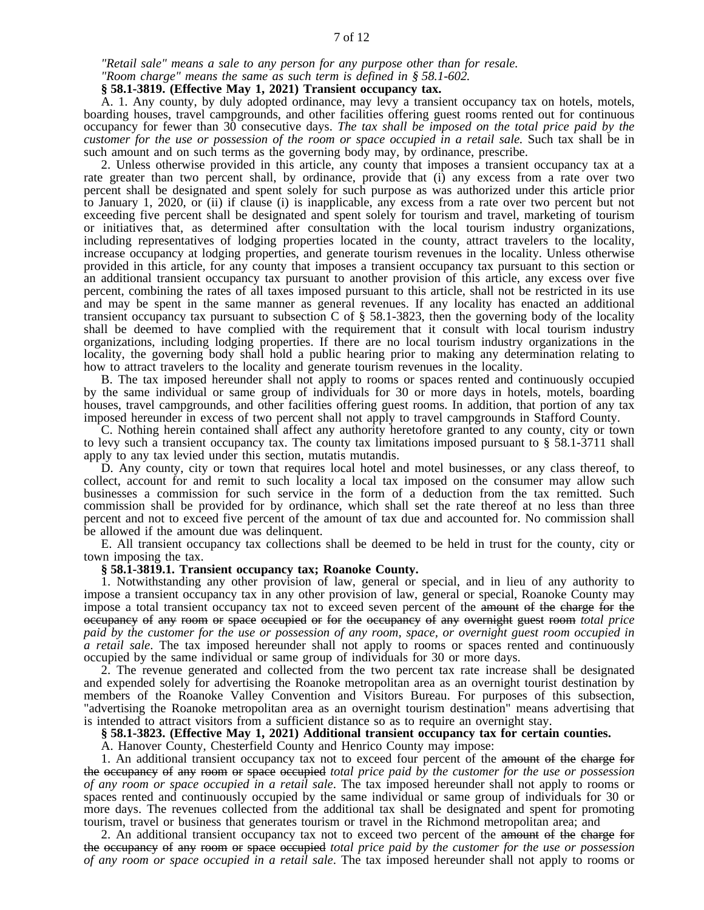*"Retail sale" means a sale to any person for any purpose other than for resale.*

*"Room charge" means the same as such term is defined in § 58.1-602.*

**§ 58.1-3819. (Effective May 1, 2021) Transient occupancy tax.**

A. 1. Any county, by duly adopted ordinance, may levy a transient occupancy tax on hotels, motels, boarding houses, travel campgrounds, and other facilities offering guest rooms rented out for continuous occupancy for fewer than 30 consecutive days. *The tax shall be imposed on the total price paid by the customer for the use or possession of the room or space occupied in a retail sale.* Such tax shall be in such amount and on such terms as the governing body may, by ordinance, prescribe.

2. Unless otherwise provided in this article, any county that imposes a transient occupancy tax at a rate greater than two percent shall, by ordinance, provide that (i) any excess from a rate over two percent shall be designated and spent solely for such purpose as was authorized under this article prior to January 1, 2020, or (ii) if clause (i) is inapplicable, any excess from a rate over two percent but not exceeding five percent shall be designated and spent solely for tourism and travel, marketing of tourism or initiatives that, as determined after consultation with the local tourism industry organizations, including representatives of lodging properties located in the county, attract travelers to the locality, increase occupancy at lodging properties, and generate tourism revenues in the locality. Unless otherwise provided in this article, for any county that imposes a transient occupancy tax pursuant to this section or an additional transient occupancy tax pursuant to another provision of this article, any excess over five percent, combining the rates of all taxes imposed pursuant to this article, shall not be restricted in its use and may be spent in the same manner as general revenues. If any locality has enacted an additional transient occupancy tax pursuant to subsection C of  $\S$  58.1-3823, then the governing body of the locality shall be deemed to have complied with the requirement that it consult with local tourism industry organizations, including lodging properties. If there are no local tourism industry organizations in the locality, the governing body shall hold a public hearing prior to making any determination relating to how to attract travelers to the locality and generate tourism revenues in the locality.

B. The tax imposed hereunder shall not apply to rooms or spaces rented and continuously occupied by the same individual or same group of individuals for 30 or more days in hotels, motels, boarding houses, travel campgrounds, and other facilities offering guest rooms. In addition, that portion of any tax imposed hereunder in excess of two percent shall not apply to travel campgrounds in Stafford County.

C. Nothing herein contained shall affect any authority heretofore granted to any county, city or town to levy such a transient occupancy tax. The county tax limitations imposed pursuant to  $\S$  58.1-3711 shall apply to any tax levied under this section, mutatis mutandis.

D. Any county, city or town that requires local hotel and motel businesses, or any class thereof, to collect, account for and remit to such locality a local tax imposed on the consumer may allow such businesses a commission for such service in the form of a deduction from the tax remitted. Such commission shall be provided for by ordinance, which shall set the rate thereof at no less than three percent and not to exceed five percent of the amount of tax due and accounted for. No commission shall be allowed if the amount due was delinquent.

E. All transient occupancy tax collections shall be deemed to be held in trust for the county, city or town imposing the tax.

### **§ 58.1-3819.1. Transient occupancy tax; Roanoke County.**

1. Notwithstanding any other provision of law, general or special, and in lieu of any authority to impose a transient occupancy tax in any other provision of law, general or special, Roanoke County may impose a total transient occupancy tax not to exceed seven percent of the amount of the charge for the occupancy of any room or space occupied or for the occupancy of any overnight guest room *total price* paid by the customer for the use or possession of any room, space, or overnight guest room occupied in *a retail sale*. The tax imposed hereunder shall not apply to rooms or spaces rented and continuously occupied by the same individual or same group of individuals for 30 or more days.

2. The revenue generated and collected from the two percent tax rate increase shall be designated and expended solely for advertising the Roanoke metropolitan area as an overnight tourist destination by members of the Roanoke Valley Convention and Visitors Bureau. For purposes of this subsection, "advertising the Roanoke metropolitan area as an overnight tourism destination" means advertising that is intended to attract visitors from a sufficient distance so as to require an overnight stay.

### **§ 58.1-3823. (Effective May 1, 2021) Additional transient occupancy tax for certain counties.**

A. Hanover County, Chesterfield County and Henrico County may impose:

1. An additional transient occupancy tax not to exceed four percent of the amount of the charge for the occupancy of any room or space occupied *total price paid by the customer for the use or possession of any room or space occupied in a retail sale*. The tax imposed hereunder shall not apply to rooms or spaces rented and continuously occupied by the same individual or same group of individuals for 30 or more days. The revenues collected from the additional tax shall be designated and spent for promoting tourism, travel or business that generates tourism or travel in the Richmond metropolitan area; and

2. An additional transient occupancy tax not to exceed two percent of the amount of the charge for the occupancy of any room or space occupied *total price paid by the customer for the use or possession of any room or space occupied in a retail sale*. The tax imposed hereunder shall not apply to rooms or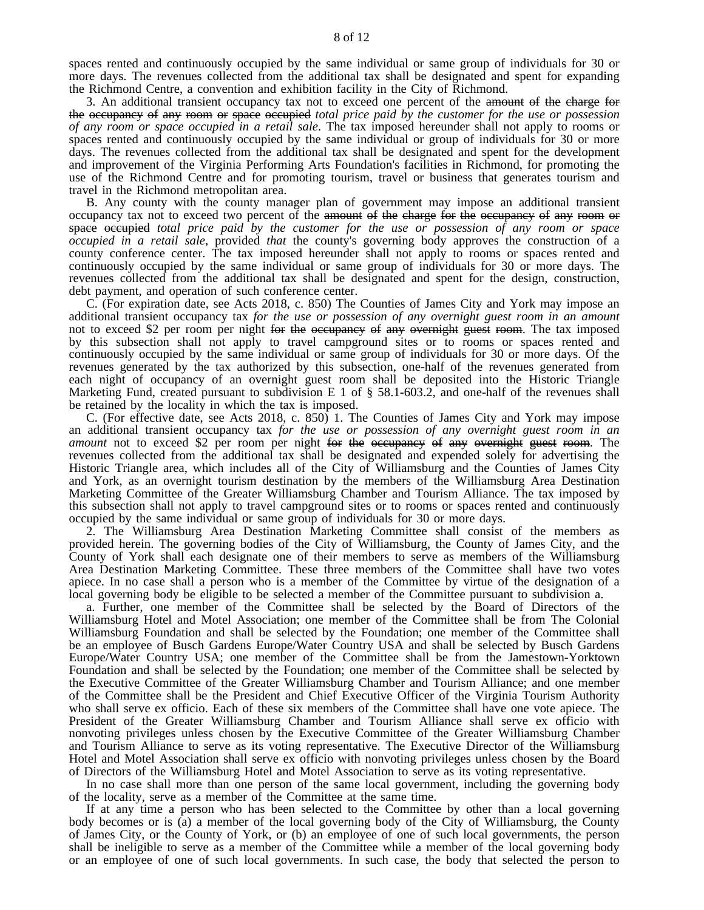spaces rented and continuously occupied by the same individual or same group of individuals for 30 or more days. The revenues collected from the additional tax shall be designated and spent for expanding the Richmond Centre, a convention and exhibition facility in the City of Richmond.

3. An additional transient occupancy tax not to exceed one percent of the amount of the charge for the occupancy of any room or space occupied *total price paid by the customer for the use or possession of any room or space occupied in a retail sale*. The tax imposed hereunder shall not apply to rooms or spaces rented and continuously occupied by the same individual or group of individuals for 30 or more days. The revenues collected from the additional tax shall be designated and spent for the development and improvement of the Virginia Performing Arts Foundation's facilities in Richmond, for promoting the use of the Richmond Centre and for promoting tourism, travel or business that generates tourism and travel in the Richmond metropolitan area.

B. Any county with the county manager plan of government may impose an additional transient occupancy tax not to exceed two percent of the amount of the charge for the occupancy of any room or space occupied *total price paid by the customer for the use or possession of any room or space occupied in a retail sale*, provided *that* the county's governing body approves the construction of a county conference center. The tax imposed hereunder shall not apply to rooms or spaces rented and continuously occupied by the same individual or same group of individuals for 30 or more days. The revenues collected from the additional tax shall be designated and spent for the design, construction, debt payment, and operation of such conference center.

C. (For expiration date, see Acts 2018, c. 850) The Counties of James City and York may impose an additional transient occupancy tax *for the use or possession of any overnight guest room in an amount* not to exceed \$2 per room per night for the occupancy of any overnight guest room. The tax imposed by this subsection shall not apply to travel campground sites or to rooms or spaces rented and continuously occupied by the same individual or same group of individuals for 30 or more days. Of the revenues generated by the tax authorized by this subsection, one-half of the revenues generated from each night of occupancy of an overnight guest room shall be deposited into the Historic Triangle Marketing Fund, created pursuant to subdivision E 1 of § 58.1-603.2, and one-half of the revenues shall be retained by the locality in which the tax is imposed.

C. (For effective date, see Acts 2018, c. 850) 1. The Counties of James City and York may impose an additional transient occupancy tax *for the use or possession of any overnight guest room in an amount* not to exceed \$2 per room per night for the occupancy of any overnight guest room. The revenues collected from the additional tax shall be designated and expended solely for advertising the Historic Triangle area, which includes all of the City of Williamsburg and the Counties of James City and York, as an overnight tourism destination by the members of the Williamsburg Area Destination Marketing Committee of the Greater Williamsburg Chamber and Tourism Alliance. The tax imposed by this subsection shall not apply to travel campground sites or to rooms or spaces rented and continuously occupied by the same individual or same group of individuals for 30 or more days.

2. The Williamsburg Area Destination Marketing Committee shall consist of the members as provided herein. The governing bodies of the City of Williamsburg, the County of James City, and the County of York shall each designate one of their members to serve as members of the Williamsburg Area Destination Marketing Committee. These three members of the Committee shall have two votes apiece. In no case shall a person who is a member of the Committee by virtue of the designation of a local governing body be eligible to be selected a member of the Committee pursuant to subdivision a.

a. Further, one member of the Committee shall be selected by the Board of Directors of the Williamsburg Hotel and Motel Association; one member of the Committee shall be from The Colonial Williamsburg Foundation and shall be selected by the Foundation; one member of the Committee shall be an employee of Busch Gardens Europe/Water Country USA and shall be selected by Busch Gardens Europe/Water Country USA; one member of the Committee shall be from the Jamestown-Yorktown Foundation and shall be selected by the Foundation; one member of the Committee shall be selected by the Executive Committee of the Greater Williamsburg Chamber and Tourism Alliance; and one member of the Committee shall be the President and Chief Executive Officer of the Virginia Tourism Authority who shall serve ex officio. Each of these six members of the Committee shall have one vote apiece. The President of the Greater Williamsburg Chamber and Tourism Alliance shall serve ex officio with nonvoting privileges unless chosen by the Executive Committee of the Greater Williamsburg Chamber and Tourism Alliance to serve as its voting representative. The Executive Director of the Williamsburg Hotel and Motel Association shall serve ex officio with nonvoting privileges unless chosen by the Board of Directors of the Williamsburg Hotel and Motel Association to serve as its voting representative.

In no case shall more than one person of the same local government, including the governing body of the locality, serve as a member of the Committee at the same time.

If at any time a person who has been selected to the Committee by other than a local governing body becomes or is (a) a member of the local governing body of the City of Williamsburg, the County of James City, or the County of York, or (b) an employee of one of such local governments, the person shall be ineligible to serve as a member of the Committee while a member of the local governing body or an employee of one of such local governments. In such case, the body that selected the person to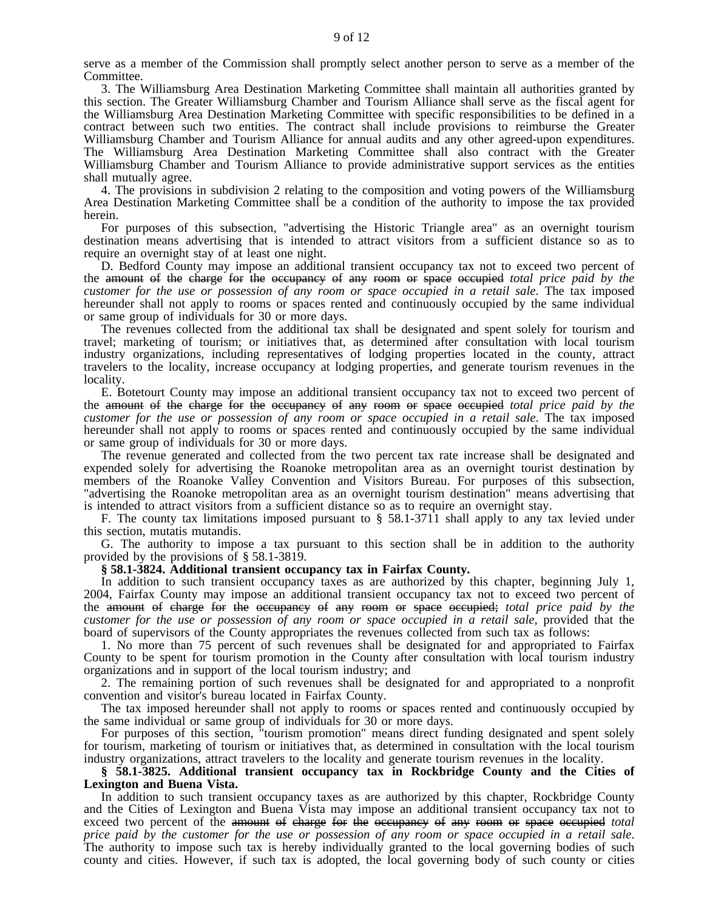serve as a member of the Commission shall promptly select another person to serve as a member of the Committee.

3. The Williamsburg Area Destination Marketing Committee shall maintain all authorities granted by this section. The Greater Williamsburg Chamber and Tourism Alliance shall serve as the fiscal agent for the Williamsburg Area Destination Marketing Committee with specific responsibilities to be defined in a contract between such two entities. The contract shall include provisions to reimburse the Greater Williamsburg Chamber and Tourism Alliance for annual audits and any other agreed-upon expenditures. The Williamsburg Area Destination Marketing Committee shall also contract with the Greater Williamsburg Chamber and Tourism Alliance to provide administrative support services as the entities shall mutually agree.

4. The provisions in subdivision 2 relating to the composition and voting powers of the Williamsburg Area Destination Marketing Committee shall be a condition of the authority to impose the tax provided herein.

For purposes of this subsection, "advertising the Historic Triangle area" as an overnight tourism destination means advertising that is intended to attract visitors from a sufficient distance so as to require an overnight stay of at least one night.

D. Bedford County may impose an additional transient occupancy tax not to exceed two percent of the amount of the charge for the occupancy of any room or space occupied *total price paid by the customer for the use or possession of any room or space occupied in a retail sale*. The tax imposed hereunder shall not apply to rooms or spaces rented and continuously occupied by the same individual or same group of individuals for 30 or more days.

The revenues collected from the additional tax shall be designated and spent solely for tourism and travel; marketing of tourism; or initiatives that, as determined after consultation with local tourism industry organizations, including representatives of lodging properties located in the county, attract travelers to the locality, increase occupancy at lodging properties, and generate tourism revenues in the locality.

E. Botetourt County may impose an additional transient occupancy tax not to exceed two percent of the amount of the charge for the occupancy of any room or space occupied *total price paid by the customer for the use or possession of any room or space occupied in a retail sale*. The tax imposed hereunder shall not apply to rooms or spaces rented and continuously occupied by the same individual or same group of individuals for 30 or more days.

The revenue generated and collected from the two percent tax rate increase shall be designated and expended solely for advertising the Roanoke metropolitan area as an overnight tourist destination by members of the Roanoke Valley Convention and Visitors Bureau. For purposes of this subsection, "advertising the Roanoke metropolitan area as an overnight tourism destination" means advertising that is intended to attract visitors from a sufficient distance so as to require an overnight stay.

F. The county tax limitations imposed pursuant to  $\S$  58.1-3711 shall apply to any tax levied under this section, mutatis mutandis.

G. The authority to impose a tax pursuant to this section shall be in addition to the authority provided by the provisions of § 58.1-3819.

#### **§ 58.1-3824. Additional transient occupancy tax in Fairfax County.**

In addition to such transient occupancy taxes as are authorized by this chapter, beginning July 1, 2004, Fairfax County may impose an additional transient occupancy tax not to exceed two percent of the amount of charge for the occupancy of any room or space occupied; *total price paid by the customer for the use or possession of any room or space occupied in a retail sale,* provided that the board of supervisors of the County appropriates the revenues collected from such tax as follows:

1. No more than 75 percent of such revenues shall be designated for and appropriated to Fairfax County to be spent for tourism promotion in the County after consultation with local tourism industry organizations and in support of the local tourism industry; and

2. The remaining portion of such revenues shall be designated for and appropriated to a nonprofit convention and visitor's bureau located in Fairfax County.

The tax imposed hereunder shall not apply to rooms or spaces rented and continuously occupied by the same individual or same group of individuals for 30 or more days.

For purposes of this section, "tourism promotion" means direct funding designated and spent solely for tourism, marketing of tourism or initiatives that, as determined in consultation with the local tourism industry organizations, attract travelers to the locality and generate tourism revenues in the locality.

## **§ 58.1-3825. Additional transient occupancy tax in Rockbridge County and the Cities of Lexington and Buena Vista.**

In addition to such transient occupancy taxes as are authorized by this chapter, Rockbridge County and the Cities of Lexington and Buena Vista may impose an additional transient occupancy tax not to exceed two percent of the amount of charge for the occupancy of any room or space occupied *total* price paid by the customer for the use or possession of any room or space occupied in a retail sale. The authority to impose such tax is hereby individually granted to the local governing bodies of such county and cities. However, if such tax is adopted, the local governing body of such county or cities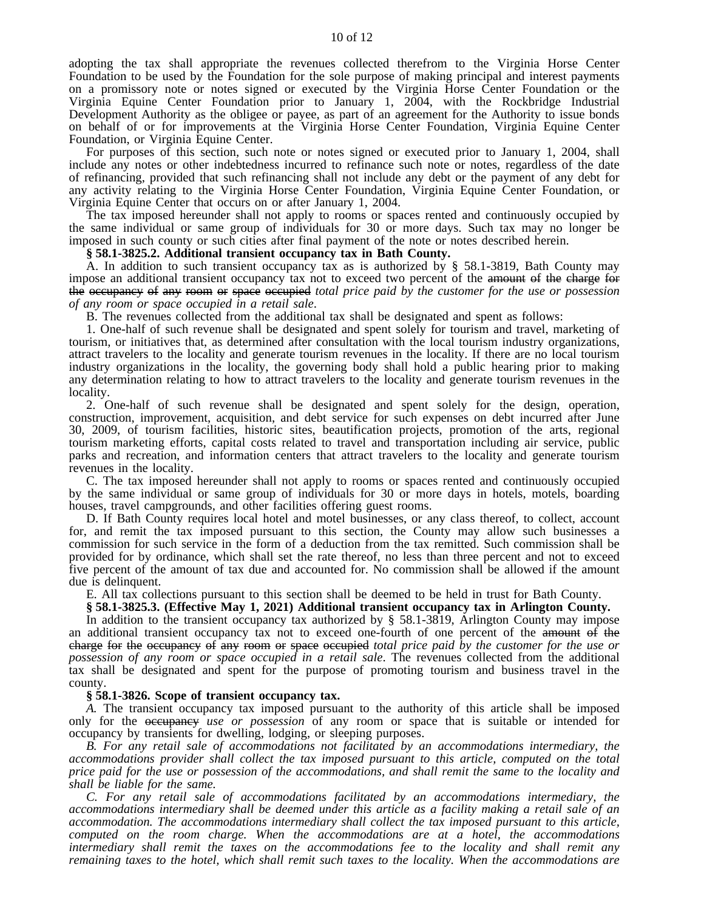adopting the tax shall appropriate the revenues collected therefrom to the Virginia Horse Center Foundation to be used by the Foundation for the sole purpose of making principal and interest payments on a promissory note or notes signed or executed by the Virginia Horse Center Foundation or the Virginia Equine Center Foundation prior to January 1, 2004, with the Rockbridge Industrial Development Authority as the obligee or payee, as part of an agreement for the Authority to issue bonds on behalf of or for improvements at the Virginia Horse Center Foundation, Virginia Equine Center Foundation, or Virginia Equine Center.

For purposes of this section, such note or notes signed or executed prior to January 1, 2004, shall include any notes or other indebtedness incurred to refinance such note or notes, regardless of the date of refinancing, provided that such refinancing shall not include any debt or the payment of any debt for any activity relating to the Virginia Horse Center Foundation, Virginia Equine Center Foundation, or Virginia Equine Center that occurs on or after January 1, 2004.

The tax imposed hereunder shall not apply to rooms or spaces rented and continuously occupied by the same individual or same group of individuals for 30 or more days. Such tax may no longer be imposed in such county or such cities after final payment of the note or notes described herein.

#### **§ 58.1-3825.2. Additional transient occupancy tax in Bath County.**

A. In addition to such transient occupancy tax as is authorized by § 58.1-3819, Bath County may impose an additional transient occupancy tax not to exceed two percent of the amount of the charge for the occupancy of any room or space occupied *total price paid by the customer for the use or possession of any room or space occupied in a retail sale*.

B. The revenues collected from the additional tax shall be designated and spent as follows:

1. One-half of such revenue shall be designated and spent solely for tourism and travel, marketing of tourism, or initiatives that, as determined after consultation with the local tourism industry organizations, attract travelers to the locality and generate tourism revenues in the locality. If there are no local tourism industry organizations in the locality, the governing body shall hold a public hearing prior to making any determination relating to how to attract travelers to the locality and generate tourism revenues in the locality.

2. One-half of such revenue shall be designated and spent solely for the design, operation, construction, improvement, acquisition, and debt service for such expenses on debt incurred after June 30, 2009, of tourism facilities, historic sites, beautification projects, promotion of the arts, regional tourism marketing efforts, capital costs related to travel and transportation including air service, public parks and recreation, and information centers that attract travelers to the locality and generate tourism revenues in the locality.

C. The tax imposed hereunder shall not apply to rooms or spaces rented and continuously occupied by the same individual or same group of individuals for 30 or more days in hotels, motels, boarding houses, travel campgrounds, and other facilities offering guest rooms.

D. If Bath County requires local hotel and motel businesses, or any class thereof, to collect, account for, and remit the tax imposed pursuant to this section, the County may allow such businesses a commission for such service in the form of a deduction from the tax remitted. Such commission shall be provided for by ordinance, which shall set the rate thereof, no less than three percent and not to exceed five percent of the amount of tax due and accounted for. No commission shall be allowed if the amount due is delinquent.

E. All tax collections pursuant to this section shall be deemed to be held in trust for Bath County.

# **§ 58.1-3825.3. (Effective May 1, 2021) Additional transient occupancy tax in Arlington County.**

In addition to the transient occupancy tax authorized by § 58.1-3819, Arlington County may impose an additional transient occupancy tax not to exceed one-fourth of one percent of the amount of the charge for the occupancy of any room or space occupied *total price paid by the customer for the use or possession of any room or space occupied in a retail sale*. The revenues collected from the additional tax shall be designated and spent for the purpose of promoting tourism and business travel in the county.

#### **§ 58.1-3826. Scope of transient occupancy tax.**

*A.* The transient occupancy tax imposed pursuant to the authority of this article shall be imposed only for the occupancy *use or possession* of any room or space that is suitable or intended for occupancy by transients for dwelling, lodging, or sleeping purposes.

*B. For any retail sale of accommodations not facilitated by an accommodations intermediary, the accommodations provider shall collect the tax imposed pursuant to this article, computed on the total* price paid for the use or possession of the accommodations, and shall remit the same to the locality and *shall be liable for the same.*

*C. For any retail sale of accommodations facilitated by an accommodations intermediary, the accommodations intermediary shall be deemed under this article as a facility making a retail sale of an accommodation. The accommodations intermediary shall collect the tax imposed pursuant to this article, computed on the room charge. When the accommodations are at a hotel, the accommodations intermediary shall remit the taxes on the accommodations fee to the locality and shall remit any remaining taxes to the hotel, which shall remit such taxes to the locality. When the accommodations are*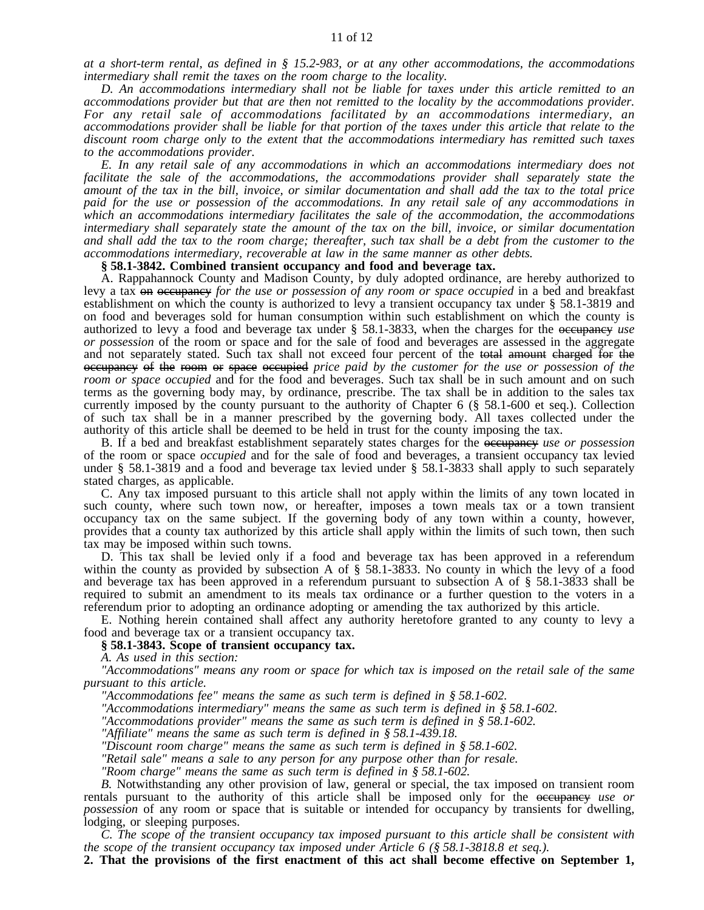*at a short-term rental, as defined in § 15.2-983, or at any other accommodations, the accommodations intermediary shall remit the taxes on the room charge to the locality.*

*D. An accommodations intermediary shall not be liable for taxes under this article remitted to an accommodations provider but that are then not remitted to the locality by the accommodations provider. For any retail sale of accommodations facilitated by an accommodations intermediary, an* accommodations provider shall be liable for that portion of the taxes under this article that relate to the *discount room charge only to the extent that the accommodations intermediary has remitted such taxes to the accommodations provider.*

*E. In any retail sale of any accommodations in which an accommodations intermediary does not facilitate the sale of the accommodations, the accommodations provider shall separately state the* amount of the tax in the bill, invoice, or similar documentation and shall add the tax to the total price *paid for the use or possession of the accommodations. In any retail sale of any accommodations in which an accommodations intermediary facilitates the sale of the accommodation, the accommodations intermediary shall separately state the amount of the tax on the bill, invoice, or similar documentation* and shall add the tax to the room charge; thereafter, such tax shall be a debt from the customer to the *accommodations intermediary, recoverable at law in the same manner as other debts.*

#### **§ 58.1-3842. Combined transient occupancy and food and beverage tax.**

A. Rappahannock County and Madison County, by duly adopted ordinance, are hereby authorized to levy a tax on occupancy *for the use or possession of any room or space occupied* in a bed and breakfast establishment on which the county is authorized to levy a transient occupancy tax under § 58.1-3819 and on food and beverages sold for human consumption within such establishment on which the county is authorized to levy a food and beverage tax under § 58.1-3833, when the charges for the occupancy *use or possession* of the room or space and for the sale of food and beverages are assessed in the aggregate and not separately stated. Such tax shall not exceed four percent of the total amount charged for the occupancy of the room or space occupied *price paid by the customer for the use or possession of the room or space occupied* and for the food and beverages. Such tax shall be in such amount and on such terms as the governing body may, by ordinance, prescribe. The tax shall be in addition to the sales tax currently imposed by the county pursuant to the authority of Chapter 6 (§ 58.1-600 et seq.). Collection of such tax shall be in a manner prescribed by the governing body. All taxes collected under the authority of this article shall be deemed to be held in trust for the county imposing the tax.

B. If a bed and breakfast establishment separately states charges for the occupancy *use or possession* of the room or space *occupied* and for the sale of food and beverages, a transient occupancy tax levied under § 58.1-3819 and a food and beverage tax levied under § 58.1-3833 shall apply to such separately stated charges, as applicable.

C. Any tax imposed pursuant to this article shall not apply within the limits of any town located in such county, where such town now, or hereafter, imposes a town meals tax or a town transient occupancy tax on the same subject. If the governing body of any town within a county, however, provides that a county tax authorized by this article shall apply within the limits of such town, then such tax may be imposed within such towns.

D. This tax shall be levied only if a food and beverage tax has been approved in a referendum within the county as provided by subsection A of § 58.1-3833. No county in which the levy of a food and beverage tax has been approved in a referendum pursuant to subsection A of § 58.1-3833 shall be required to submit an amendment to its meals tax ordinance or a further question to the voters in a referendum prior to adopting an ordinance adopting or amending the tax authorized by this article.

E. Nothing herein contained shall affect any authority heretofore granted to any county to levy a food and beverage tax or a transient occupancy tax.

### **§ 58.1-3843. Scope of transient occupancy tax.**

*A. As used in this section:*

*"Accommodations" means any room or space for which tax is imposed on the retail sale of the same pursuant to this article.*

*"Accommodations fee" means the same as such term is defined in § 58.1-602.*

*"Accommodations intermediary" means the same as such term is defined in § 58.1-602.*

*"Accommodations provider" means the same as such term is defined in § 58.1-602.*

*"Affiliate" means the same as such term is defined in § 58.1-439.18.*

*"Discount room charge" means the same as such term is defined in § 58.1-602.*

*"Retail sale" means a sale to any person for any purpose other than for resale.*

*"Room charge" means the same as such term is defined in § 58.1-602.*

*B.* Notwithstanding any other provision of law, general or special, the tax imposed on transient room rentals pursuant to the authority of this article shall be imposed only for the occupancy *use or possession* of any room or space that is suitable or intended for occupancy by transients for dwelling, lodging, or sleeping purposes.

*C. The scope of the transient occupancy tax imposed pursuant to this article shall be consistent with the scope of the transient occupancy tax imposed under Article 6 (§ 58.1-3818.8 et seq.).*

**2. That the provisions of the first enactment of this act shall become effective on September 1,**